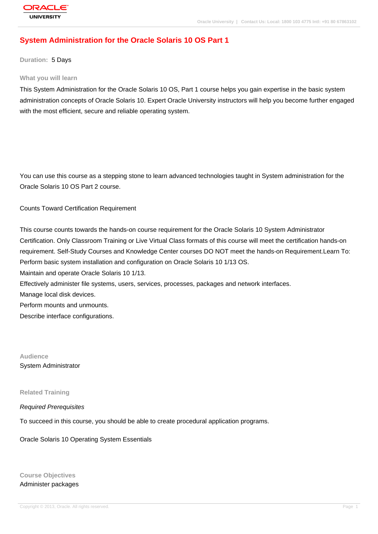# **[System Admin](http://education.oracle.com/pls/web_prod-plq-dad/db_pages.getpage?page_id=3)istration for the Oracle Solaris 10 OS Part 1**

**Duration:** 5 Days

#### **What you will learn**

This System Administration for the Oracle Solaris 10 OS, Part 1 course helps you gain expertise in the basic system administration concepts of Oracle Solaris 10. Expert Oracle University instructors will help you become further engaged with the most efficient, secure and reliable operating system.

You can use this course as a stepping stone to learn advanced technologies taught in System administration for the Oracle Solaris 10 OS Part 2 course.

Counts Toward Certification Requirement

This course counts towards the hands-on course requirement for the Oracle Solaris 10 System Administrator Certification. Only Classroom Training or Live Virtual Class formats of this course will meet the certification hands-on requirement. Self-Study Courses and Knowledge Center courses DO NOT meet the hands-on Requirement.Learn To: Perform basic system installation and configuration on Oracle Solaris 10 1/13 OS. Maintain and operate Oracle Solaris 10 1/13. Effectively administer file systems, users, services, processes, packages and network interfaces. Manage local disk devices. Perform mounts and unmounts. Describe interface configurations.

**Audience** System Administrator

**Related Training**

#### Required Prerequisites

To succeed in this course, you should be able to create procedural application programs.

Oracle Solaris 10 Operating System Essentials

**Course Objectives** Administer packages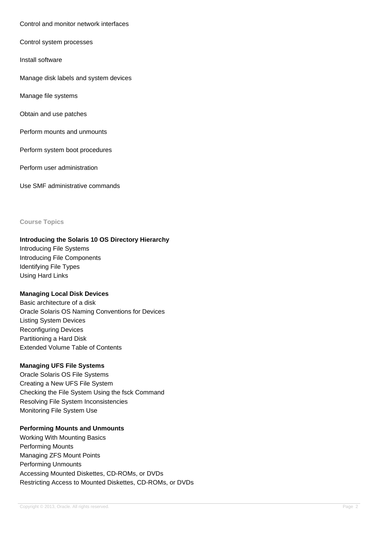#### Control and monitor network interfaces

#### Control system processes

Install software

Manage disk labels and system devices

Manage file systems

Obtain and use patches

Perform mounts and unmounts

Perform system boot procedures

Perform user administration

Use SMF administrative commands

#### **Course Topics**

#### **Introducing the Solaris 10 OS Directory Hierarchy**

Introducing File Systems Introducing File Components Identifying File Types Using Hard Links

#### **Managing Local Disk Devices**

Basic architecture of a disk Oracle Solaris OS Naming Conventions for Devices Listing System Devices Reconfiguring Devices Partitioning a Hard Disk Extended Volume Table of Contents

### **Managing UFS File Systems**

Oracle Solaris OS File Systems Creating a New UFS File System Checking the File System Using the fsck Command Resolving File System Inconsistencies Monitoring File System Use

## **Performing Mounts and Unmounts**

Working With Mounting Basics Performing Mounts Managing ZFS Mount Points Performing Unmounts Accessing Mounted Diskettes, CD-ROMs, or DVDs Restricting Access to Mounted Diskettes, CD-ROMs, or DVDs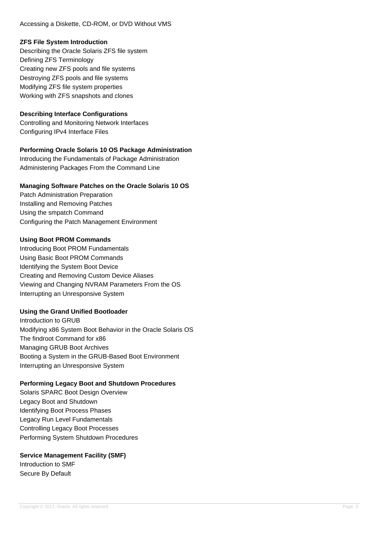Accessing a Diskette, CD-ROM, or DVD Without VMS

### **ZFS File System Introduction**

Describing the Oracle Solaris ZFS file system Defining ZFS Terminology Creating new ZFS pools and file systems Destroying ZFS pools and file systems Modifying ZFS file system properties Working with ZFS snapshots and clones

## **Describing Interface Configurations**

Controlling and Monitoring Network Interfaces Configuring IPv4 Interface Files

## **Performing Oracle Solaris 10 OS Package Administration**

Introducing the Fundamentals of Package Administration Administering Packages From the Command Line

## **Managing Software Patches on the Oracle Solaris 10 OS**

Patch Administration Preparation Installing and Removing Patches Using the smpatch Command Configuring the Patch Management Environment

#### **Using Boot PROM Commands**

Introducing Boot PROM Fundamentals Using Basic Boot PROM Commands Identifying the System Boot Device Creating and Removing Custom Device Aliases Viewing and Changing NVRAM Parameters From the OS Interrupting an Unresponsive System

## **Using the Grand Unified Bootloader**

Introduction to GRUB Modifying x86 System Boot Behavior in the Oracle Solaris OS The findroot Command for x86 Managing GRUB Boot Archives Booting a System in the GRUB-Based Boot Environment Interrupting an Unresponsive System

## **Performing Legacy Boot and Shutdown Procedures**

Solaris SPARC Boot Design Overview Legacy Boot and Shutdown Identifying Boot Process Phases Legacy Run Level Fundamentals Controlling Legacy Boot Processes Performing System Shutdown Procedures

## **Service Management Facility (SMF)**

Introduction to SMF Secure By Default